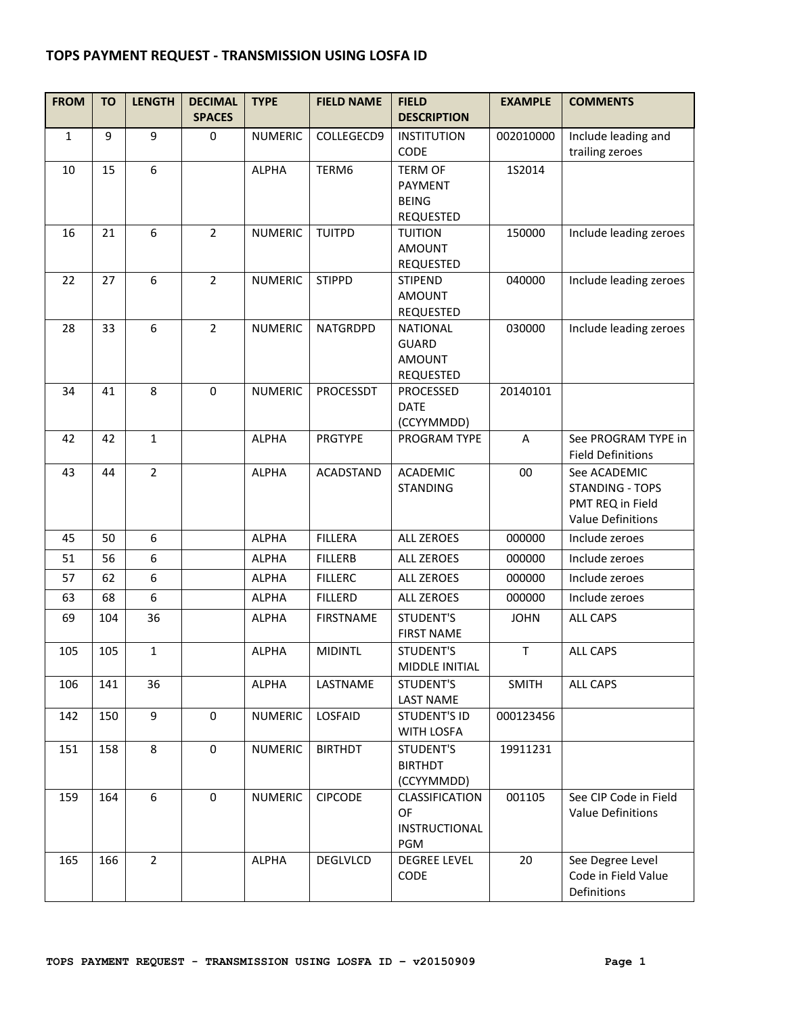## **TOPS PAYMENT REQUEST - TRANSMISSION USING LOSFA ID**

| <b>FROM</b>  | <b>TO</b> | <b>LENGTH</b>    | <b>DECIMAL</b><br><b>SPACES</b> | <b>TYPE</b>    | <b>FIELD NAME</b> | <b>FIELD</b><br><b>DESCRIPTION</b>                                   | <b>EXAMPLE</b> | <b>COMMENTS</b>                                                                        |
|--------------|-----------|------------------|---------------------------------|----------------|-------------------|----------------------------------------------------------------------|----------------|----------------------------------------------------------------------------------------|
| $\mathbf{1}$ | 9         | 9                | 0                               | <b>NUMERIC</b> | COLLEGECD9        | <b>INSTITUTION</b><br>CODE                                           | 002010000      | Include leading and<br>trailing zeroes                                                 |
| 10           | 15        | $\boldsymbol{6}$ |                                 | <b>ALPHA</b>   | TERM6             | <b>TERM OF</b><br><b>PAYMENT</b><br><b>BEING</b><br>REQUESTED        | 152014         |                                                                                        |
| 16           | 21        | $\boldsymbol{6}$ | $\overline{2}$                  | <b>NUMERIC</b> | <b>TUITPD</b>     | <b>TUITION</b><br><b>AMOUNT</b><br>REQUESTED                         | 150000         | Include leading zeroes                                                                 |
| 22           | 27        | $\boldsymbol{6}$ | $\overline{2}$                  | <b>NUMERIC</b> | <b>STIPPD</b>     | <b>STIPEND</b><br><b>AMOUNT</b><br>REQUESTED                         | 040000         | Include leading zeroes                                                                 |
| 28           | 33        | $6\phantom{1}$   | $\overline{2}$                  | <b>NUMERIC</b> | <b>NATGRDPD</b>   | <b>NATIONAL</b><br><b>GUARD</b><br><b>AMOUNT</b><br><b>REQUESTED</b> | 030000         | Include leading zeroes                                                                 |
| 34           | 41        | 8                | $\mathbf 0$                     | <b>NUMERIC</b> | PROCESSDT         | PROCESSED<br><b>DATE</b><br>(CCYYMMDD)                               | 20140101       |                                                                                        |
| 42           | 42        | $\mathbf{1}$     |                                 | <b>ALPHA</b>   | <b>PRGTYPE</b>    | PROGRAM TYPE                                                         | A              | See PROGRAM TYPE in<br><b>Field Definitions</b>                                        |
| 43           | 44        | $\overline{2}$   |                                 | <b>ALPHA</b>   | <b>ACADSTAND</b>  | <b>ACADEMIC</b><br><b>STANDING</b>                                   | 00             | See ACADEMIC<br><b>STANDING - TOPS</b><br>PMT REQ in Field<br><b>Value Definitions</b> |
| 45           | 50        | 6                |                                 | <b>ALPHA</b>   | <b>FILLERA</b>    | <b>ALL ZEROES</b>                                                    | 000000         | Include zeroes                                                                         |
| 51           | 56        | 6                |                                 | <b>ALPHA</b>   | <b>FILLERB</b>    | <b>ALL ZEROES</b>                                                    | 000000         | Include zeroes                                                                         |
| 57           | 62        | 6                |                                 | <b>ALPHA</b>   | <b>FILLERC</b>    | <b>ALL ZEROES</b>                                                    | 000000         | Include zeroes                                                                         |
| 63           | 68        | $\boldsymbol{6}$ |                                 | <b>ALPHA</b>   | <b>FILLERD</b>    | <b>ALL ZEROES</b>                                                    | 000000         | Include zeroes                                                                         |
| 69           | 104       | 36               |                                 | <b>ALPHA</b>   | <b>FIRSTNAME</b>  | STUDENT'S<br><b>FIRST NAME</b>                                       | <b>JOHN</b>    | <b>ALL CAPS</b>                                                                        |
| 105          | 105       | $\mathbf{1}$     |                                 | <b>ALPHA</b>   | <b>MIDINTL</b>    | STUDENT'S<br>MIDDLE INITIAL                                          | $\top$         | <b>ALL CAPS</b>                                                                        |
| 106          | 141       | 36               |                                 | <b>ALPHA</b>   | LASTNAME          | STUDENT'S<br><b>LAST NAME</b>                                        | <b>SMITH</b>   | <b>ALL CAPS</b>                                                                        |
| 142          | 150       | 9                | 0                               | <b>NUMERIC</b> | LOSFAID           | <b>STUDENT'S ID</b><br>WITH LOSFA                                    | 000123456      |                                                                                        |
| 151          | 158       | 8                | 0                               | <b>NUMERIC</b> | <b>BIRTHDT</b>    | <b>STUDENT'S</b><br><b>BIRTHDT</b><br>(CCYYMMDD)                     | 19911231       |                                                                                        |
| 159          | 164       | 6                | 0                               | <b>NUMERIC</b> | <b>CIPCODE</b>    | CLASSIFICATION<br>OF<br>INSTRUCTIONAL<br>PGM                         | 001105         | See CIP Code in Field<br><b>Value Definitions</b>                                      |
| 165          | 166       | $\overline{2}$   |                                 | <b>ALPHA</b>   | DEGLVLCD          | <b>DEGREE LEVEL</b><br>CODE                                          | 20             | See Degree Level<br>Code in Field Value<br>Definitions                                 |